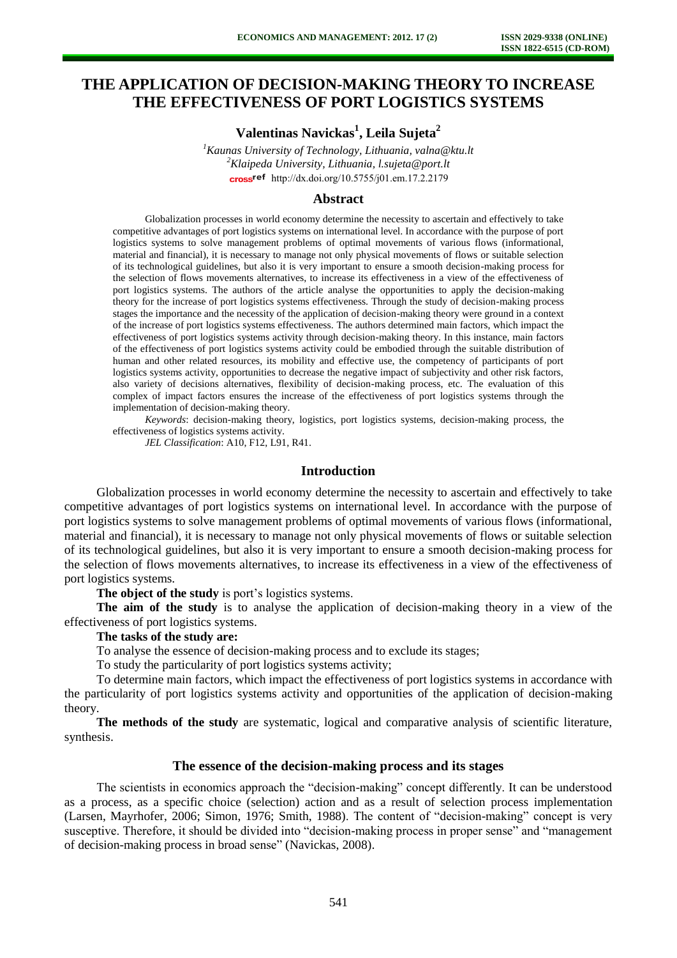# **THE APPLICATION OF DECISION-MAKING THEORY TO INCREASE THE EFFECTIVENESS OF PORT LOGISTICS SYSTEMS**

**Valentinas Navickas<sup>1</sup> , Leila Sujeta<sup>2</sup>**

*<sup>1</sup>Kaunas University of Technology, Lithuania, valna@ktu.lt <sup>2</sup>Klaipeda University, Lithuania, l.sujeta@port.lt*  cross<sup>ref</sup> [http://dx.doi.org/10.5755/j01.e](http://dx.doi.org/10.5755/j01.em.17.2.2179)m.17.2.2179

### **Abstract**

Globalization processes in world economy determine the necessity to ascertain and effectively to take competitive advantages of port logistics systems on international level. In accordance with the purpose of port logistics systems to solve management problems of optimal movements of various flows (informational, material and financial), it is necessary to manage not only physical movements of flows or suitable selection of its technological guidelines, but also it is very important to ensure a smooth decision-making process for the selection of flows movements alternatives, to increase its effectiveness in a view of the effectiveness of port logistics systems. The authors of the article analyse the opportunities to apply the decision-making theory for the increase of port logistics systems effectiveness. Through the study of decision-making process stages the importance and the necessity of the application of decision-making theory were ground in a context of the increase of port logistics systems effectiveness. The authors determined main factors, which impact the effectiveness of port logistics systems activity through decision-making theory. In this instance, main factors of the effectiveness of port logistics systems activity could be embodied through the suitable distribution of human and other related resources, its mobility and effective use, the competency of participants of port logistics systems activity, opportunities to decrease the negative impact of subjectivity and other risk factors, also variety of decisions alternatives, flexibility of decision-making process, etc. The evaluation of this complex of impact factors ensures the increase of the effectiveness of port logistics systems through the implementation of decision-making theory.

*Keywords*: decision-making theory, logistics, port logistics systems, decision-making process, the effectiveness of logistics systems activity.

*JEL Classification*: A10, F12, L91, R41.

# **Introduction**

Globalization processes in world economy determine the necessity to ascertain and effectively to take competitive advantages of port logistics systems on international level. In accordance with the purpose of port logistics systems to solve management problems of optimal movements of various flows (informational, material and financial), it is necessary to manage not only physical movements of flows or suitable selection of its technological guidelines, but also it is very important to ensure a smooth decision-making process for the selection of flows movements alternatives, to increase its effectiveness in a view of the effectiveness of port logistics systems.

**The object of the study** is port's logistics systems.

**The aim of the study** is to analyse the application of decision-making theory in a view of the effectiveness of port logistics systems.

#### **The tasks of the study are:**

To analyse the essence of decision-making process and to exclude its stages;

To study the particularity of port logistics systems activity;

To determine main factors, which impact the effectiveness of port logistics systems in accordance with the particularity of port logistics systems activity and opportunities of the application of decision-making theory.

**The methods of the study** are systematic, logical and comparative analysis of scientific literature, synthesis.

#### **The essence of the decision-making process and its stages**

The scientists in economics approach the "decision-making" concept differently. It can be understood as a process, as a specific choice (selection) action and as a result of selection process implementation (Larsen, Mayrhofer, 2006; Simon, 1976; Smith, 1988). The content of "decision-making" concept is very susceptive. Therefore, it should be divided into "decision-making process in proper sense" and "management of decision-making process in broad sense" (Navickas, 2008).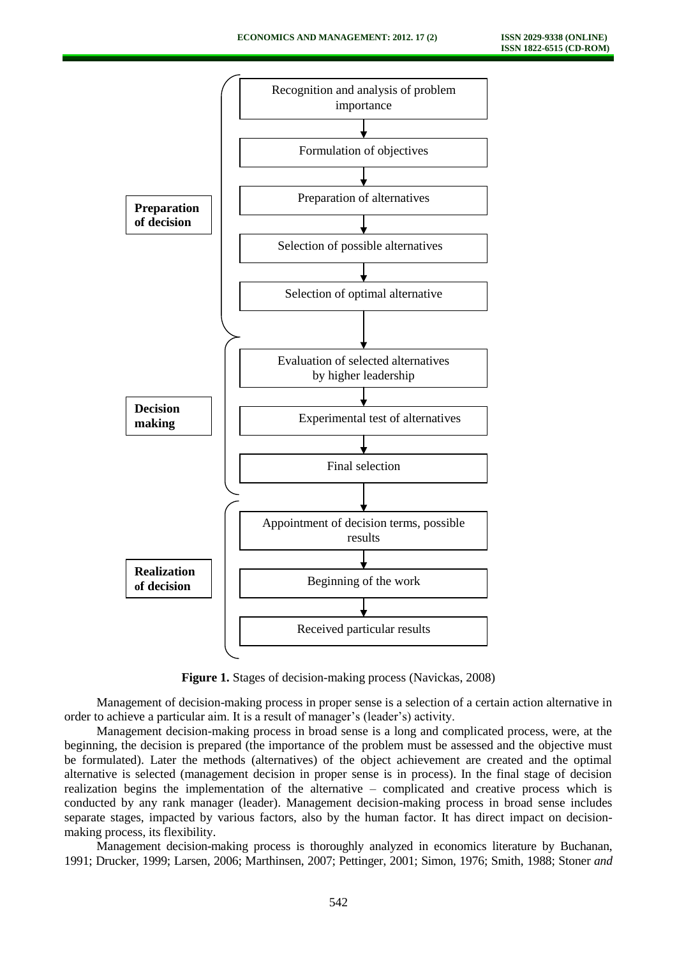

**Figure 1.** Stages of decision-making process (Navickas, 2008)

Management of decision-making process in proper sense is a selection of a certain action alternative in order to achieve a particular aim. It is a result of manager's (leader's) activity.

Management decision-making process in broad sense is a long and complicated process, were, at the beginning, the decision is prepared (the importance of the problem must be assessed and the objective must be formulated). Later the methods (alternatives) of the object achievement are created and the optimal alternative is selected (management decision in proper sense is in process). In the final stage of decision realization begins the implementation of the alternative – complicated and creative process which is conducted by any rank manager (leader). Management decision-making process in broad sense includes separate stages, impacted by various factors, also by the human factor. It has direct impact on decisionmaking process, its flexibility.

Management decision-making process is thoroughly analyzed in economics literature by Buchanan, 1991; Drucker, 1999; Larsen, 2006; Marthinsen, 2007; Pettinger, 2001; Simon, 1976; Smith, 1988; Stoner *and*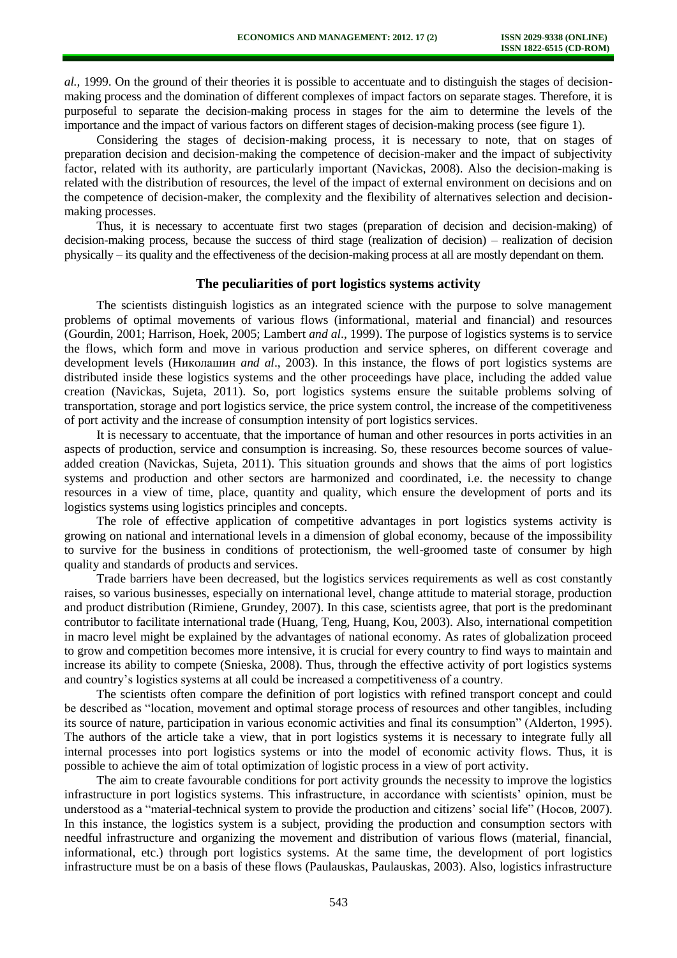*al.,* 1999. On the ground of their theories it is possible to accentuate and to distinguish the stages of decisionmaking process and the domination of different complexes of impact factors on separate stages. Therefore, it is purposeful to separate the decision-making process in stages for the aim to determine the levels of the importance and the impact of various factors on different stages of decision-making process (see figure 1).

Considering the stages of decision-making process, it is necessary to note, that on stages of preparation decision and decision-making the competence of decision-maker and the impact of subjectivity factor, related with its authority, are particularly important (Navickas, 2008). Also the decision-making is related with the distribution of resources, the level of the impact of external environment on decisions and on the competence of decision-maker, the complexity and the flexibility of alternatives selection and decisionmaking processes.

Thus, it is necessary to accentuate first two stages (preparation of decision and decision-making) of decision-making process, because the success of third stage (realization of decision) – realization of decision physically – its quality and the effectiveness of the decision-making process at all are mostly dependant on them.

#### **The peculiarities of port logistics systems activity**

The scientists distinguish logistics as an integrated science with the purpose to solve management problems of optimal movements of various flows (informational, material and financial) and resources (Gourdin, 2001; Harrison, Hoek, 2005; Lambert *and al*., 1999). The purpose of logistics systems is to service the flows, which form and move in various production and service spheres, on different coverage and development levels (Николашин *and al*., 2003). In this instance, the flows of port logistics systems are distributed inside these logistics systems and the other proceedings have place, including the added value creation (Navickas, Sujeta, 2011). So, port logistics systems ensure the suitable problems solving of transportation, storage and port logistics service, the price system control, the increase of the competitiveness of port activity and the increase of consumption intensity of port logistics services.

It is necessary to accentuate, that the importance of human and other resources in ports activities in an aspects of production, service and consumption is increasing. So, these resources become sources of valueadded creation (Navickas, Sujeta, 2011). This situation grounds and shows that the aims of port logistics systems and production and other sectors are harmonized and coordinated, i.e. the necessity to change resources in a view of time, place, quantity and quality, which ensure the development of ports and its logistics systems using logistics principles and concepts.

The role of effective application of competitive advantages in port logistics systems activity is growing on national and international levels in a dimension of global economy, because of the impossibility to survive for the business in conditions of protectionism, the well-groomed taste of consumer by high quality and standards of products and services.

Trade barriers have been decreased, but the logistics services requirements as well as cost constantly raises, so various businesses, especially on international level, change attitude to material storage, production and product distribution (Rimiene, Grundey, 2007). In this case, scientists agree, that port is the predominant contributor to facilitate international trade (Huang, Teng, Huang, Kou, 2003). Also, international competition in macro level might be explained by the advantages of national economy. As rates of globalization proceed to grow and competition becomes more intensive, it is crucial for every country to find ways to maintain and increase its ability to compete (Snieska, 2008). Thus, through the effective activity of port logistics systems and country's logistics systems at all could be increased a competitiveness of a country.

The scientists often compare the definition of port logistics with refined transport concept and could be described as "location, movement and optimal storage process of resources and other tangibles, including its source of nature, participation in various economic activities and final its consumption" (Alderton, 1995). The authors of the article take a view, that in port logistics systems it is necessary to integrate fully all internal processes into port logistics systems or into the model of economic activity flows. Thus, it is possible to achieve the aim of total optimization of logistic process in a view of port activity.

The aim to create favourable conditions for port activity grounds the necessity to improve the logistics infrastructure in port logistics systems. This infrastructure, in accordance with scientists' opinion, must be understood as a "material-technical system to provide the production and citizens' social life" (Носов, 2007). In this instance, the logistics system is a subject, providing the production and consumption sectors with needful infrastructure and organizing the movement and distribution of various flows (material, financial, informational, etc.) through port logistics systems. At the same time, the development of port logistics infrastructure must be on a basis of these flows (Paulauskas, Paulauskas, 2003). Also, logistics infrastructure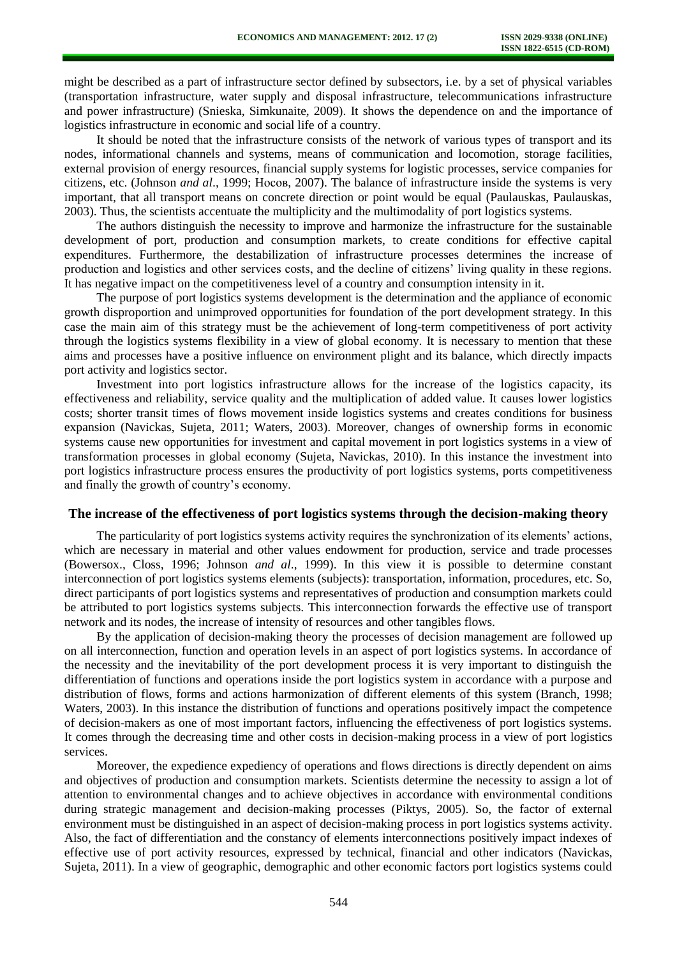might be described as a part of infrastructure sector defined by subsectors, i.e. by a set of physical variables (transportation infrastructure, water supply and disposal infrastructure, telecommunications infrastructure and power infrastructure) (Snieska, Simkunaite, 2009). It shows the dependence on and the importance of logistics infrastructure in economic and social life of a country.

It should be noted that the infrastructure consists of the network of various types of transport and its nodes, informational channels and systems, means of communication and locomotion, storage facilities, external provision of energy resources, financial supply systems for logistic processes, service companies for citizens, etc. (Johnson *and al*., 1999; Носов, 2007). The balance of infrastructure inside the systems is very important, that all transport means on concrete direction or point would be equal (Paulauskas, Paulauskas, 2003). Thus, the scientists accentuate the multiplicity and the multimodality of port logistics systems.

The authors distinguish the necessity to improve and harmonize the infrastructure for the sustainable development of port, production and consumption markets, to create conditions for effective capital expenditures. Furthermore, the destabilization of infrastructure processes determines the increase of production and logistics and other services costs, and the decline of citizens' living quality in these regions. It has negative impact on the competitiveness level of a country and consumption intensity in it.

The purpose of port logistics systems development is the determination and the appliance of economic growth disproportion and unimproved opportunities for foundation of the port development strategy. In this case the main aim of this strategy must be the achievement of long-term competitiveness of port activity through the logistics systems flexibility in a view of global economy. It is necessary to mention that these aims and processes have a positive influence on environment plight and its balance, which directly impacts port activity and logistics sector.

Investment into port logistics infrastructure allows for the increase of the logistics capacity, its effectiveness and reliability, service quality and the multiplication of added value. It causes lower logistics costs; shorter transit times of flows movement inside logistics systems and creates conditions for business expansion (Navickas, Sujeta, 2011; Waters, 2003). Moreover, changes of ownership forms in economic systems cause new opportunities for investment and capital movement in port logistics systems in a view of transformation processes in global economy (Sujeta, Navickas, 2010). In this instance the investment into port logistics infrastructure process ensures the productivity of port logistics systems, ports competitiveness and finally the growth of country's economy.

#### **The increase of the effectiveness of port logistics systems through the decision-making theory**

The particularity of port logistics systems activity requires the synchronization of its elements' actions, which are necessary in material and other values endowment for production, service and trade processes (Bowersox., Closs, 1996; Johnson *and al*., 1999). In this view it is possible to determine constant interconnection of port logistics systems elements (subjects): transportation, information, procedures, etc. So, direct participants of port logistics systems and representatives of production and consumption markets could be attributed to port logistics systems subjects. This interconnection forwards the effective use of transport network and its nodes, the increase of intensity of resources and other tangibles flows.

By the application of decision-making theory the processes of decision management are followed up on all interconnection, function and operation levels in an aspect of port logistics systems. In accordance of the necessity and the inevitability of the port development process it is very important to distinguish the differentiation of functions and operations inside the port logistics system in accordance with a purpose and distribution of flows, forms and actions harmonization of different elements of this system (Branch, 1998; Waters, 2003). In this instance the distribution of functions and operations positively impact the competence of decision-makers as one of most important factors, influencing the effectiveness of port logistics systems. It comes through the decreasing time and other costs in decision-making process in a view of port logistics services.

Moreover, the expedience expediency of operations and flows directions is directly dependent on aims and objectives of production and consumption markets. Scientists determine the necessity to assign a lot of attention to environmental changes and to achieve objectives in accordance with environmental conditions during strategic management and decision-making processes (Piktys, 2005). So, the factor of external environment must be distinguished in an aspect of decision-making process in port logistics systems activity. Also, the fact of differentiation and the constancy of elements interconnections positively impact indexes of effective use of port activity resources, expressed by technical, financial and other indicators (Navickas, Sujeta, 2011). In a view of geographic, demographic and other economic factors port logistics systems could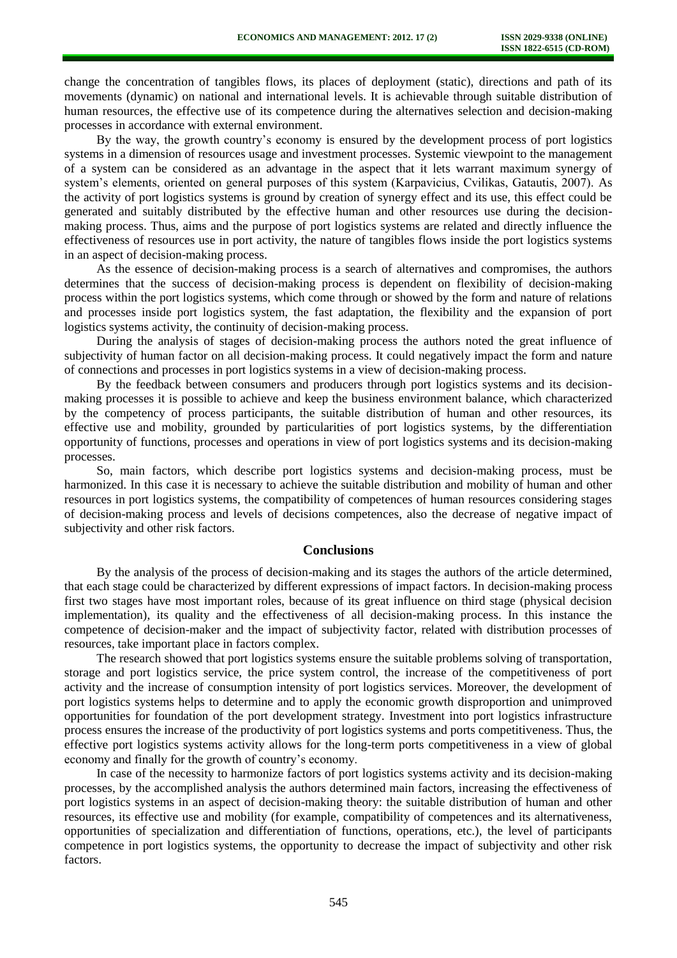change the concentration of tangibles flows, its places of deployment (static), directions and path of its movements (dynamic) on national and international levels. It is achievable through suitable distribution of human resources, the effective use of its competence during the alternatives selection and decision-making processes in accordance with external environment.

By the way, the growth country's economy is ensured by the development process of port logistics systems in a dimension of resources usage and investment processes. Systemic viewpoint to the management of a system can be considered as an advantage in the aspect that it lets warrant maximum synergy of system's elements, oriented on general purposes of this system (Karpavicius, Cvilikas, Gatautis, 2007). As the activity of port logistics systems is ground by creation of synergy effect and its use, this effect could be generated and suitably distributed by the effective human and other resources use during the decisionmaking process. Thus, aims and the purpose of port logistics systems are related and directly influence the effectiveness of resources use in port activity, the nature of tangibles flows inside the port logistics systems in an aspect of decision-making process.

As the essence of decision-making process is a search of alternatives and compromises, the authors determines that the success of decision-making process is dependent on flexibility of decision-making process within the port logistics systems, which come through or showed by the form and nature of relations and processes inside port logistics system, the fast adaptation, the flexibility and the expansion of port logistics systems activity, the continuity of decision-making process.

During the analysis of stages of decision-making process the authors noted the great influence of subjectivity of human factor on all decision-making process. It could negatively impact the form and nature of connections and processes in port logistics systems in a view of decision-making process.

By the feedback between consumers and producers through port logistics systems and its decisionmaking processes it is possible to achieve and keep the business environment balance, which characterized by the competency of process participants, the suitable distribution of human and other resources, its effective use and mobility, grounded by particularities of port logistics systems, by the differentiation opportunity of functions, processes and operations in view of port logistics systems and its decision-making processes.

So, main factors, which describe port logistics systems and decision-making process, must be harmonized. In this case it is necessary to achieve the suitable distribution and mobility of human and other resources in port logistics systems, the compatibility of competences of human resources considering stages of decision-making process and levels of decisions competences, also the decrease of negative impact of subjectivity and other risk factors.

#### **Conclusions**

By the analysis of the process of decision-making and its stages the authors of the article determined, that each stage could be characterized by different expressions of impact factors. In decision-making process first two stages have most important roles, because of its great influence on third stage (physical decision implementation), its quality and the effectiveness of all decision-making process. In this instance the competence of decision-maker and the impact of subjectivity factor, related with distribution processes of resources, take important place in factors complex.

The research showed that port logistics systems ensure the suitable problems solving of transportation, storage and port logistics service, the price system control, the increase of the competitiveness of port activity and the increase of consumption intensity of port logistics services. Moreover, the development of port logistics systems helps to determine and to apply the economic growth disproportion and unimproved opportunities for foundation of the port development strategy. Investment into port logistics infrastructure process ensures the increase of the productivity of port logistics systems and ports competitiveness. Thus, the effective port logistics systems activity allows for the long-term ports competitiveness in a view of global economy and finally for the growth of country's economy.

In case of the necessity to harmonize factors of port logistics systems activity and its decision-making processes, by the accomplished analysis the authors determined main factors, increasing the effectiveness of port logistics systems in an aspect of decision-making theory: the suitable distribution of human and other resources, its effective use and mobility (for example, compatibility of competences and its alternativeness, opportunities of specialization and differentiation of functions, operations, etc.), the level of participants competence in port logistics systems, the opportunity to decrease the impact of subjectivity and other risk factors.